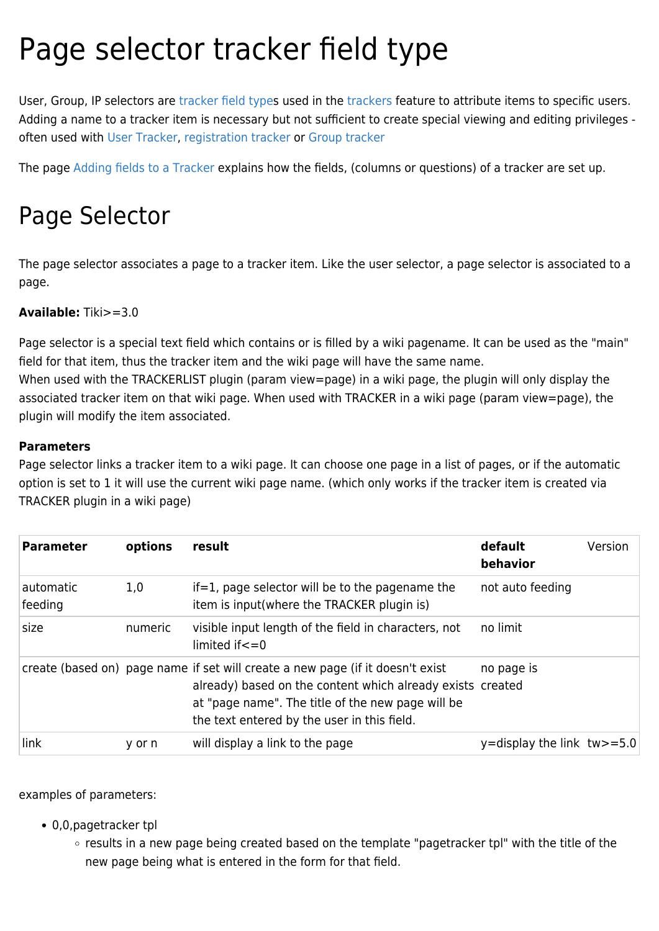# Page selector tracker field type

User, Group, IP selectors are [tracker field types](https://doc.tiki.org/tracker%20field%20type) used in the [trackers](https://doc.tiki.org/Trackers) feature to attribute items to specific users. Adding a name to a tracker item is necessary but not sufficient to create special viewing and editing privileges often used with [User Tracker](https://doc.tiki.org/User-Tracker), [registration tracker](https://doc.tiki.org/registration%20tracker) or [Group tracker](https://doc.tiki.org/Group-Tracker)

The page [Adding fields to a Tracker](https://doc.tiki.org/Adding-fields-to-a-tracker) explains how the fields, (columns or questions) of a tracker are set up.

## Page Selector

The page selector associates a page to a tracker item. Like the user selector, a page selector is associated to a page.

#### **Available:** Tiki>=3.0

Page selector is a special text field which contains or is filled by a wiki pagename. It can be used as the "main" field for that item, thus the tracker item and the wiki page will have the same name.

When used with the TRACKERLIST plugin (param view=page) in a wiki page, the plugin will only display the associated tracker item on that wiki page. When used with TRACKER in a wiki page (param view=page), the plugin will modify the item associated.

#### **Parameters**

Page selector links a tracker item to a wiki page. It can choose one page in a list of pages, or if the automatic option is set to 1 it will use the current wiki page name. (which only works if the tracker item is created via TRACKER plugin in a wiki page)

| <b>Parameter</b>     | options | result                                                                                                                                                                                                                                           | default<br>behavior          | Version |
|----------------------|---------|--------------------------------------------------------------------------------------------------------------------------------------------------------------------------------------------------------------------------------------------------|------------------------------|---------|
| automatic<br>feeding | 1,0     | if=1, page selector will be to the pagename the<br>item is input(where the TRACKER plugin is)                                                                                                                                                    | not auto feeding             |         |
| size                 | numeric | visible input length of the field in characters, not<br>limited if $\leq$ = 0                                                                                                                                                                    | no limit                     |         |
|                      |         | create (based on) page name if set will create a new page (if it doesn't exist<br>already) based on the content which already exists created<br>at "page name". The title of the new page will be<br>the text entered by the user in this field. | no page is                   |         |
| link                 | y or n  | will display a link to the page                                                                                                                                                                                                                  | y=display the link $tw>=5.0$ |         |

examples of parameters:

- 0,0,pagetracker tpl
	- results in a new page being created based on the template "pagetracker tpl" with the title of the new page being what is entered in the form for that field.